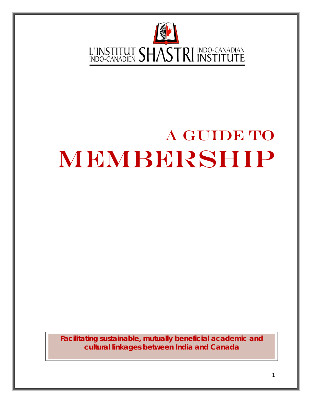

# A GUIDE TO MEMBERSHIP

**Facilitating sustainable, mutually beneficial academic and cultural linkages between India and Canada**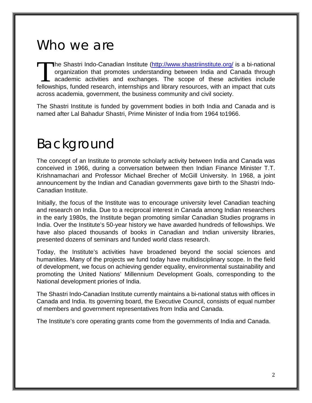### Who we are

The Shastri Indo-Canadian Institute [\(http://www.shastriinstitute.org/](http://www.shastriinstitute.org/) is a bi-national organization that promotes understanding between India and Canada through academic activities and exchanges. The scope of these activities include The Shastri Indo-Canadian Institute (http://www.shastriinstitute.org/ is a bi-national organization that promotes understanding between India and Canada through academic activities and exchanges. The scope of these activit across academia, government, the business community and civil society.

The Shastri Institute is funded by government bodies in both India and Canada and is named after Lal Bahadur Shastri, Prime Minister of India from 1964 to1966.

### Background

The concept of an Institute to promote scholarly activity between India and Canada was conceived in 1966, during a conversation between then Indian Finance Minister T.T. Krishnamachari and Professor Michael Brecher of McGill University. In 1968, a joint announcement by the Indian and Canadian governments gave birth to the Shastri Indo-Canadian Institute.

Initially, the focus of the Institute was to encourage university level Canadian teaching and research on India. Due to a reciprocal interest in Canada among Indian researchers in the early 1980s, the Institute began promoting similar Canadian Studies programs in India. Over the Institute's 50-year history we have awarded hundreds of fellowships. We have also placed thousands of books in Canadian and Indian university libraries, presented dozens of seminars and funded world class research.

Today, the Institute's activities have broadened beyond the social sciences and humanities. Many of the projects we fund today have multidisciplinary scope. In the field of development, we focus on achieving gender equality, environmental sustainability and promoting the United Nations' Millennium Development Goals, corresponding to the National development priories of India.

The Shastri Indo-Canadian Institute currently maintains a bi-national status with offices in Canada and India. Its governing board, the Executive Council, consists of equal number of members and government representatives from India and Canada.

The Institute's core operating grants come from the governments of India and Canada.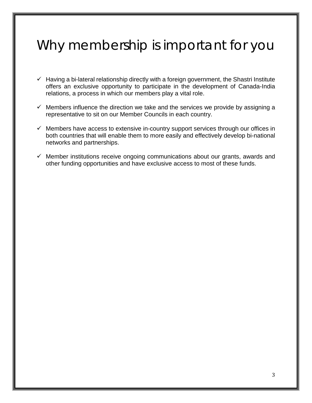## Why membership is important for you

- $\checkmark$  Having a bi-lateral relationship directly with a foreign government, the Shastri Institute offers an exclusive opportunity to participate in the development of Canada-India relations, a process in which our members play a vital role.
- $\checkmark$  Members influence the direction we take and the services we provide by assigning a representative to sit on our Member Councils in each country.
- $\checkmark$  Members have access to extensive in-country support services through our offices in both countries that will enable them to more easily and effectively develop bi-national networks and partnerships.
- $\checkmark$  Member institutions receive ongoing communications about our grants, awards and other funding opportunities and have exclusive access to most of these funds.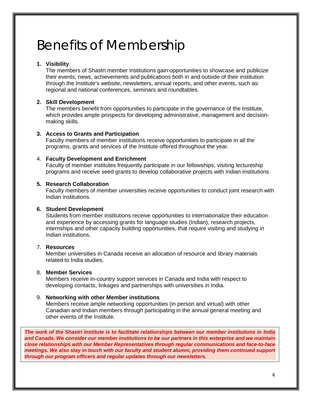### Benefits of Membership

#### **1. Visibility**

The members of Shastri member institutions gain opportunities to showcase and publicize their events, news, achievements and publications both in and outside of their institution through the Institute's website, newsletters, annual reports, and other events, such as: regional and national conferences, seminars and roundtables.

#### **2. Skill Development**

The members benefit from opportunities to participate in the governance of the Institute, which provides ample prospects for developing administrative, management and decisionmaking skills.

#### **3. Access to Grants and Participation**

Faculty members of member institutions receive opportunities to participate in all the programs, grants and services of the Institute offered throughout the year.

#### 4. **Faculty Development and Enrichment**

Faculty of member institutes frequently participate in our fellowships, visiting lectureship programs and receive seed grants to develop collaborative projects with Indian institutions.

#### **5. Research Collaboration**

Faculty members of member universities receive opportunities to conduct joint research with Indian institutions.

#### **6. Student Development**

Students from member institutions receive opportunities to internationalize their education and experience by accessing grants for language studies (Indian), research projects, internships and other capacity building opportunities, that require visiting and studying in Indian institutions.

#### 7. **Resources**

Member universities in Canada receive an allocation of resource and library materials related to India studies.

#### 8. **Member Services**

Members receive in-country support services in Canada and India with respect to developing contacts, linkages and partnerships with universities in India.

#### 9. **Networking with other Member institutions**

Members receive ample networking opportunities (in person and virtual) with other Canadian and Indian members through participating in the annual general meeting and other events of the Institute.

*The work of the Shastri Institute is to facilitate relationships between our member institutions in India and Canada. We consider our member institutions to be our partners in this enterprise and we maintain close relationships with our Member Representatives through regular communications and face-to-face meetings. We also stay in touch with our faculty and student alumni, providing them continued support through our program officers and regular updates through our newsletters.*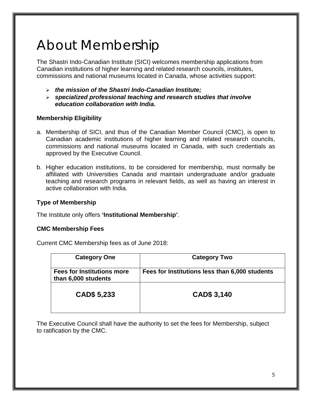## About Membership

The Shastri Indo-Canadian Institute (SICI) welcomes membership applications from Canadian institutions of higher learning and related research councils, institutes, commissions and national museums located in Canada, whose activities support:

- *the mission of the Shastri Indo-Canadian Institute;*
- *specialized professional teaching and research studies that involve education collaboration with India.*

#### **Membership Eligibility**

- a. Membership of SICI, and thus of the Canadian Member Council (CMC), is open to Canadian academic institutions of higher learning and related research councils, commissions and national museums located in Canada, with such credentials as approved by the Executive Council.
- b. Higher education institutions, to be considered for membership, must normally be affiliated with Universities Canada and maintain undergraduate and/or graduate teaching and research programs in relevant fields, as well as having an interest in active collaboration with India.

#### **Type of Membership**

The Institute only offers **'Institutional Membership'**.

#### **CMC Membership Fees**

Current CMC Membership fees as of June 2018:

| <b>Category One</b>                                      | <b>Category Two</b>                            |
|----------------------------------------------------------|------------------------------------------------|
| <b>Fees for Institutions more</b><br>than 6,000 students | Fees for Institutions less than 6,000 students |
| CAD\$ 5,233                                              | CAD\$ 3,140                                    |

The Executive Council shall have the authority to set the fees for Membership, subject to ratification by the CMC.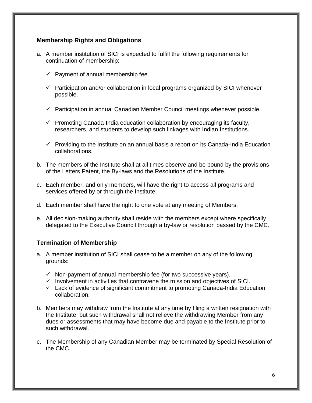#### **Membership Rights and Obligations**

- a. A member institution of SICI is expected to fulfill the following requirements for continuation of membership:
	- $\checkmark$  Payment of annual membership fee.
	- $\checkmark$  Participation and/or collaboration in local programs organized by SICI whenever possible.
	- $\checkmark$  Participation in annual Canadian Member Council meetings whenever possible.
	- $\checkmark$  Promoting Canada-India education collaboration by encouraging its faculty, researchers, and students to develop such linkages with Indian Institutions.
	- $\checkmark$  Providing to the Institute on an annual basis a report on its Canada-India Education collaborations.
- b. The members of the Institute shall at all times observe and be bound by the provisions of the Letters Patent, the By-laws and the Resolutions of the Institute.
- c. Each member, and only members, will have the right to access all programs and services offered by or through the Institute.
- d. Each member shall have the right to one vote at any meeting of Members.
- e. All decision-making authority shall reside with the members except where specifically delegated to the Executive Council through a by-law or resolution passed by the CMC.

#### **Termination of Membership**

- a. A member institution of SICI shall cease to be a member on any of the following grounds:
	- $\checkmark$  Non-payment of annual membership fee (for two successive years).
	- $\checkmark$  Involvement in activities that contravene the mission and objectives of SICI.
	- $\checkmark$  Lack of evidence of significant commitment to promoting Canada-India Education collaboration.
- b. Members may withdraw from the Institute at any time by filing a written resignation with the Institute, but such withdrawal shall not relieve the withdrawing Member from any dues or assessments that may have become due and payable to the Institute prior to such withdrawal.
- c. The Membership of any Canadian Member may be terminated by Special Resolution of the CMC.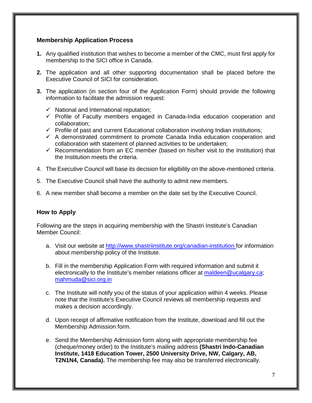#### **Membership Application Process**

- **1.** Any qualified institution that wishes to become a member of the CMC, must first apply for membership to the SICI office in Canada.
- **2.** The application and all other supporting documentation shall be placed before the Executive Council of SICI for consideration.
- **3.** The application (in section four of the Application Form) should provide the following information to facilitate the admission request:
	- $\checkmark$  National and International reputation:
	- $\checkmark$  Profile of Faculty members engaged in Canada-India education cooperation and collaboration;
	- $\checkmark$  Profile of past and current Educational collaboration involving Indian institutions;
	- $\checkmark$  A demonstrated commitment to promote Canada India education cooperation and collaboration with statement of planned activities to be undertaken;
	- $\checkmark$  Recommendation from an EC member (based on his/her visit to the Institution) that the Institution meets the criteria.
- 4. The Executive Council will base its decision for eligibility on the above-mentioned criteria.
- 5. The Executive Council shall have the authority to admit new members.
- 6. A new member shall become a member on the date set by the Executive Council.

#### **How to Apply**

Following are the steps in acquiring membership with the Shastri Institute's Canadian Member Council:

- a. Visit our website at<http://www.shastriinstitute.org/canadian-institution> for information about membership policy of the Institute.
- b. Fill in the membership Application Form with required information and submit it electronically to the Institute's member relations officer at [maldeen@ucalgary.ca;](mailto:maldeen@ucalgary.ca) [mahmuda@sici.org.in](mailto:mahmuda@sici.org.in)
- c. The Institute will notify you of the status of your application within 4 weeks. Please note that the Institute's Executive Council reviews all membership requests and makes a decision accordingly.
- d. Upon receipt of affirmative notification from the Institute, download and fill out the Membership Admission form.
- e. Send the Membership Admission form along with appropriate membership fee (cheque/money order) to the Institute's mailing address **(Shastri Indo-Canadian Institute, 1418 Education Tower, 2500 University Drive, NW, Calgary, AB, T2N1N4, Canada).** The membership fee may also be transferred electronically.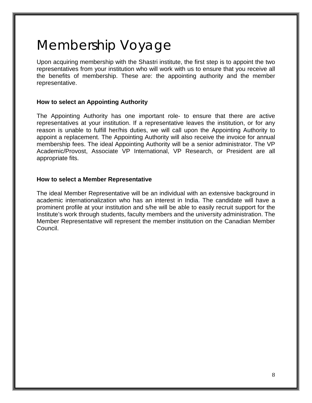# Membership Voyage

Upon acquiring membership with the Shastri institute, the first step is to appoint the two representatives from your institution who will work with us to ensure that you receive all the benefits of membership. These are: the appointing authority and the member representative.

#### **How to select an Appointing Authority**

The Appointing Authority has one important role- to ensure that there are active representatives at your institution. If a representative leaves the institution, or for any reason is unable to fulfill her/his duties, we will call upon the Appointing Authority to appoint a replacement. The Appointing Authority will also receive the invoice for annual membership fees. The ideal Appointing Authority will be a senior administrator. The VP Academic/Provost, Associate VP International, VP Research, or President are all appropriate fits.

#### **How to select a Member Representative**

The ideal Member Representative will be an individual with an extensive background in academic internationalization who has an interest in India. The candidate will have a prominent profile at your institution and s/he will be able to easily recruit support for the Institute's work through students, faculty members and the university administration. The Member Representative will represent the member institution on the Canadian Member Council.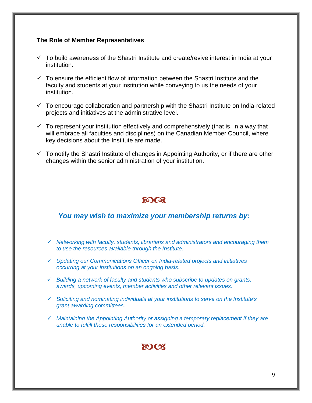#### **The Role of Member Representatives**

- $\checkmark$  To build awareness of the Shastri Institute and create/revive interest in India at your institution.
- $\checkmark$  To ensure the efficient flow of information between the Shastri Institute and the faculty and students at your institution while conveying to us the needs of your institution.
- $\checkmark$  To encourage collaboration and partnership with the Shastri Institute on India-related projects and initiatives at the administrative level.
- $\checkmark$  To represent your institution effectively and comprehensively (that is, in a way that will embrace all faculties and disciplines) on the Canadian Member Council, where key decisions about the Institute are made.
- $\checkmark$  To notify the Shastri Institute of changes in Appointing Authority, or if there are other changes within the senior administration of your institution.

### **SOOR**

#### *You may wish to maximize your membership returns by:*

- *Networking with faculty, students, librarians and administrators and encouraging them to use the resources available through the Institute.*
- *Updating our Communications Officer on India-related projects and initiatives occurring at your institutions on an ongoing basis.*
- *Building a network of faculty and students who subscribe to updates on grants, awards, upcoming events, member activities and other relevant issues.*
- *Soliciting and nominating individuals at your institutions to serve on the Institute's grant awarding committees.*
- *Maintaining the Appointing Authority or assigning a temporary replacement if they are unable to fulfill these responsibilities for an extended period.*